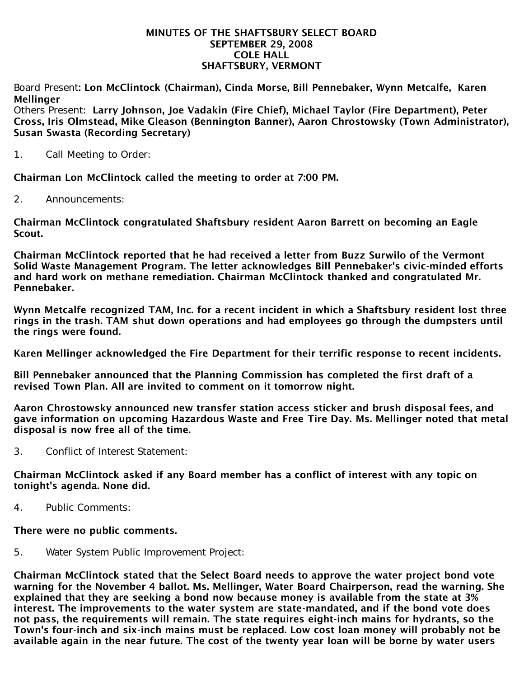#### MINUTES OF THE SHAFTSBURY SELECT BOARD SEPTEMBER 29, 2008 COLE HALL SHAFTSBURY, VERMONT

Board Present: Lon McClintock (Chairman), Cinda Morse, Bill Pennebaker, Wynn Metcalfe, Karen **Mellinger** 

Others Present: Larry Johnson, Joe Vadakin (Fire Chief), Michael Taylor (Fire Department), Peter Cross, Iris Olmstead, Mike Gleason (Bennington Banner), Aaron Chrostowsky (Town Administrator), Susan Swasta (Recording Secretary)

1. Call Meeting to Order:

Chairman Lon McClintock called the meeting to order at 7:00 PM.

2. Announcements:

Chairman McClintock congratulated Shaftsbury resident Aaron Barrett on becoming an Eagle Scout.

Chairman McClintock reported that he had received a letter from Buzz Surwilo of the Vermont Solid Waste Management Program. The letter acknowledges Bill Pennebaker's civic-minded efforts and hard work on methane remediation. Chairman McClintock thanked and congratulated Mr. Pennebaker.

Wynn Metcalfe recognized TAM, Inc. for a recent incident in which a Shaftsbury resident lost three rings in the trash. TAM shut down operations and had employees go through the dumpsters until the rings were found.

Karen Mellinger acknowledged the Fire Department for their terrific response to recent incidents.

Bill Pennebaker announced that the Planning Commission has completed the first draft of a revised Town Plan. All are invited to comment on it tomorrow night.

Aaron Chrostowsky announced new transfer station access sticker and brush disposal fees, and gave information on upcoming Hazardous Waste and Free Tire Day. Ms. Mellinger noted that metal disposal is now free all of the time.

3. Conflict of Interest Statement:

Chairman McClintock asked if any Board member has a conflict of interest with any topic on tonight's agenda. None did.

4. Public Comments:

#### There were no public comments.

5. Water System Public Improvement Project:

Chairman McClintock stated that the Select Board needs to approve the water project bond vote warning for the November 4 ballot. Ms. Mellinger, Water Board Chairperson, read the warning. She explained that they are seeking a bond now because money is available from the state at 3% interest. The improvements to the water system are state-mandated, and if the bond vote does not pass, the requirements will remain. The state requires eight-inch mains for hydrants, so the Town's four-inch and six-inch mains must be replaced. Low cost loan money will probably not be available again in the near future. The cost of the twenty year loan will be borne by water users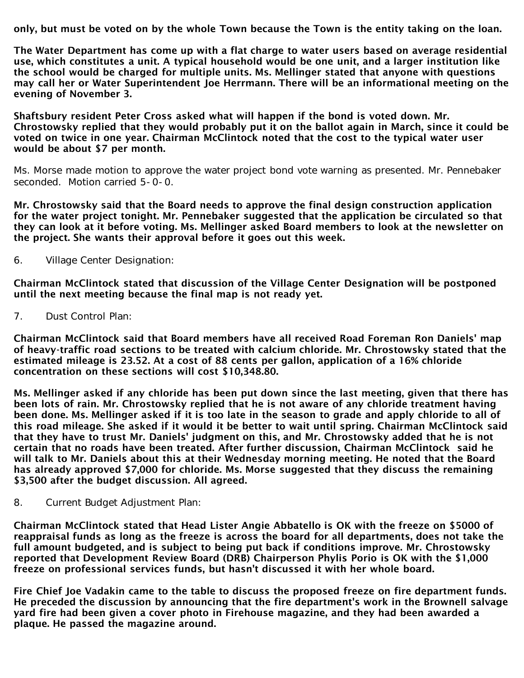only, but must be voted on by the whole Town because the Town is the entity taking on the loan.

The Water Department has come up with a flat charge to water users based on average residential use, which constitutes a unit. A typical household would be one unit, and a larger institution like the school would be charged for multiple units. Ms. Mellinger stated that anyone with questions may call her or Water Superintendent Joe Herrmann. There will be an informational meeting on the evening of November 3.

Shaftsbury resident Peter Cross asked what will happen if the bond is voted down. Mr. Chrostowsky replied that they would probably put it on the ballot again in March, since it could be voted on twice in one year. Chairman McClintock noted that the cost to the typical water user would be about \$7 per month.

Ms. Morse made motion to approve the water project bond vote warning as presented. Mr. Pennebaker seconded. Motion carried 5-0-0.

Mr. Chrostowsky said that the Board needs to approve the final design construction application for the water project tonight. Mr. Pennebaker suggested that the application be circulated so that they can look at it before voting. Ms. Mellinger asked Board members to look at the newsletter on the project. She wants their approval before it goes out this week.

6. Village Center Designation:

Chairman McClintock stated that discussion of the Village Center Designation will be postponed until the next meeting because the final map is not ready yet.

7. Dust Control Plan:

Chairman McClintock said that Board members have all received Road Foreman Ron Daniels' map of heavy-traffic road sections to be treated with calcium chloride. Mr. Chrostowsky stated that the estimated mileage is 23.52. At a cost of 88 cents per gallon, application of a 16% chloride concentration on these sections will cost \$10,348.80.

Ms. Mellinger asked if any chloride has been put down since the last meeting, given that there has been lots of rain. Mr. Chrostowsky replied that he is not aware of any chloride treatment having been done. Ms. Mellinger asked if it is too late in the season to grade and apply chloride to all of this road mileage. She asked if it would it be better to wait until spring. Chairman McClintock said that they have to trust Mr. Daniels' judgment on this, and Mr. Chrostowsky added that he is not certain that no roads have been treated. After further discussion, Chairman McClintock said he will talk to Mr. Daniels about this at their Wednesday morning meeting. He noted that the Board has already approved \$7,000 for chloride. Ms. Morse suggested that they discuss the remaining \$3,500 after the budget discussion. All agreed.

8. Current Budget Adjustment Plan:

Chairman McClintock stated that Head Lister Angie Abbatello is OK with the freeze on \$5000 of reappraisal funds as long as the freeze is across the board for all departments, does not take the full amount budgeted, and is subject to being put back if conditions improve. Mr. Chrostowsky reported that Development Review Board (DRB) Chairperson Phylis Porio is OK with the \$1,000 freeze on professional services funds, but hasn't discussed it with her whole board.

Fire Chief Joe Vadakin came to the table to discuss the proposed freeze on fire department funds. He preceded the discussion by announcing that the fire department's work in the Brownell salvage yard fire had been given a cover photo in Firehouse magazine, and they had been awarded a plaque. He passed the magazine around.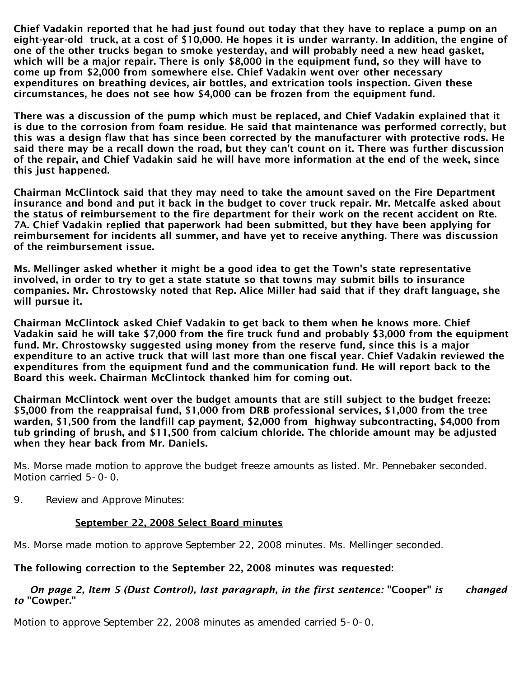Chief Vadakin reported that he had just found out today that they have to replace a pump on an eight-year-old truck, at a cost of \$10,000. He hopes it is under warranty. In addition, the engine of one of the other trucks began to smoke yesterday, and will probably need a new head gasket, which will be a major repair. There is only \$8,000 in the equipment fund, so they will have to come up from \$2,000 from somewhere else. Chief Vadakin went over other necessary expenditures on breathing devices, air bottles, and extrication tools inspection. Given these circumstances, he does not see how \$4,000 can be frozen from the equipment fund.

There was a discussion of the pump which must be replaced, and Chief Vadakin explained that it is due to the corrosion from foam residue. He said that maintenance was performed correctly, but this was a design flaw that has since been corrected by the manufacturer with protective rods. He said there may be a recall down the road, but they can't count on it. There was further discussion of the repair, and Chief Vadakin said he will have more information at the end of the week, since this just happened.

Chairman McClintock said that they may need to take the amount saved on the Fire Department insurance and bond and put it back in the budget to cover truck repair. Mr. Metcalfe asked about the status of reimbursement to the fire department for their work on the recent accident on Rte. 7A. Chief Vadakin replied that paperwork had been submitted, but they have been applying for reimbursement for incidents all summer, and have yet to receive anything. There was discussion of the reimbursement issue.

Ms. Mellinger asked whether it might be a good idea to get the Town's state representative involved, in order to try to get a state statute so that towns may submit bills to insurance companies. Mr. Chrostowsky noted that Rep. Alice Miller had said that if they draft language, she will pursue it.

Chairman McClintock asked Chief Vadakin to get back to them when he knows more. Chief Vadakin said he will take \$7,000 from the fire truck fund and probably \$3,000 from the equipment fund. Mr. Chrostowsky suggested using money from the reserve fund, since this is a major expenditure to an active truck that will last more than one fiscal year. Chief Vadakin reviewed the expenditures from the equipment fund and the communication fund. He will report back to the Board this week. Chairman McClintock thanked him for coming out.

Chairman McClintock went over the budget amounts that are still subject to the budget freeze: \$5,000 from the reappraisal fund, \$1,000 from DRB professional services, \$1,000 from the tree warden, \$1,500 from the landfill cap payment, \$2,000 from highway subcontracting, \$4,000 from tub grinding of brush, and \$11,500 from calcium chloride. The chloride amount may be adjusted when they hear back from Mr. Daniels.

Ms. Morse made motion to approve the budget freeze amounts as listed. Mr. Pennebaker seconded. Motion carried 5-0-0.

9. Review and Approve Minutes:

# September 22, 2008 Select Board minutes

Ms. Morse made motion to approve September 22, 2008 minutes. Ms. Mellinger seconded.

# The following correction to the September 22, 2008 minutes was requested:

### *On page 2, Item 5 (Dust Control), last paragraph, in the first sentence:* "Cooper" *is changed to* "Cowper."

Motion to approve September 22, 2008 minutes as amended carried 5-0-0.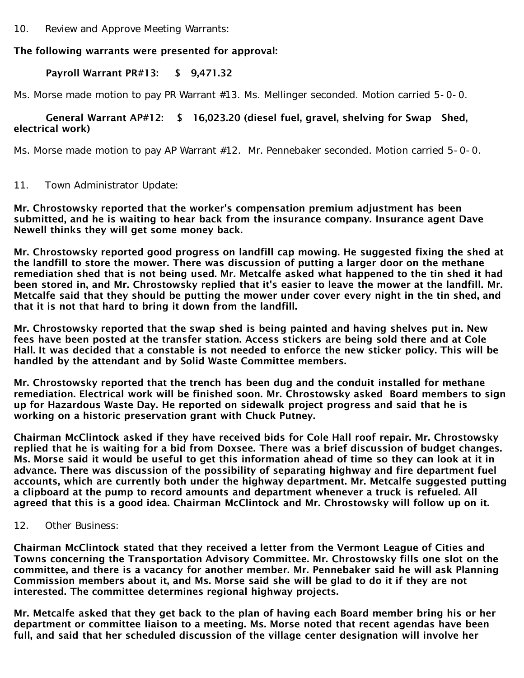10. Review and Approve Meeting Warrants:

## The following warrants were presented for approval:

### Payroll Warrant PR#13: \$ 9,471.32

Ms. Morse made motion to pay PR Warrant #13. Ms. Mellinger seconded. Motion carried 5-0-0.

### General Warrant AP#12: \$ 16,023.20 (diesel fuel, gravel, shelving for Swap Shed, electrical work)

Ms. Morse made motion to pay AP Warrant #12. Mr. Pennebaker seconded. Motion carried 5-0-0.

11. Town Administrator Update:

Mr. Chrostowsky reported that the worker's compensation premium adjustment has been submitted, and he is waiting to hear back from the insurance company. Insurance agent Dave Newell thinks they will get some money back.

Mr. Chrostowsky reported good progress on landfill cap mowing. He suggested fixing the shed at the landfill to store the mower. There was discussion of putting a larger door on the methane remediation shed that is not being used. Mr. Metcalfe asked what happened to the tin shed it had been stored in, and Mr. Chrostowsky replied that it's easier to leave the mower at the landfill. Mr. Metcalfe said that they should be putting the mower under cover every night in the tin shed, and that it is not that hard to bring it down from the landfill.

Mr. Chrostowsky reported that the swap shed is being painted and having shelves put in. New fees have been posted at the transfer station. Access stickers are being sold there and at Cole Hall. It was decided that a constable is not needed to enforce the new sticker policy. This will be handled by the attendant and by Solid Waste Committee members.

Mr. Chrostowsky reported that the trench has been dug and the conduit installed for methane remediation. Electrical work will be finished soon. Mr. Chrostowsky asked Board members to sign up for Hazardous Waste Day. He reported on sidewalk project progress and said that he is working on a historic preservation grant with Chuck Putney.

Chairman McClintock asked if they have received bids for Cole Hall roof repair. Mr. Chrostowsky replied that he is waiting for a bid from Doxsee. There was a brief discussion of budget changes. Ms. Morse said it would be useful to get this information ahead of time so they can look at it in advance. There was discussion of the possibility of separating highway and fire department fuel accounts, which are currently both under the highway department. Mr. Metcalfe suggested putting a clipboard at the pump to record amounts and department whenever a truck is refueled. All agreed that this is a good idea. Chairman McClintock and Mr. Chrostowsky will follow up on it.

12. Other Business:

Chairman McClintock stated that they received a letter from the Vermont League of Cities and Towns concerning the Transportation Advisory Committee. Mr. Chrostowsky fills one slot on the committee, and there is a vacancy for another member. Mr. Pennebaker said he will ask Planning Commission members about it, and Ms. Morse said she will be glad to do it if they are not interested. The committee determines regional highway projects.

Mr. Metcalfe asked that they get back to the plan of having each Board member bring his or her department or committee liaison to a meeting. Ms. Morse noted that recent agendas have been full, and said that her scheduled discussion of the village center designation will involve her